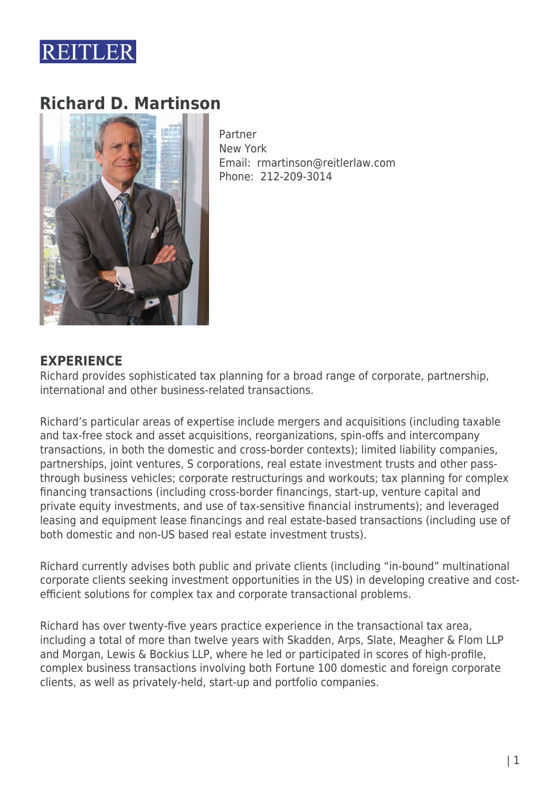

# **Richard D. Martinson**



Partner New York Email: rmartinson@reitlerlaw.com Phone: 212-209-3014

## **EXPERIENCE**

Richard provides sophisticated tax planning for a broad range of corporate, partnership, international and other business-related transactions.

Richard's particular areas of expertise include mergers and acquisitions (including taxable and tax-free stock and asset acquisitions, reorganizations, spin-offs and intercompany transactions, in both the domestic and cross-border contexts); limited liability companies, partnerships, joint ventures, S corporations, real estate investment trusts and other passthrough business vehicles; corporate restructurings and workouts; tax planning for complex financing transactions (including cross-border financings, start-up, venture capital and private equity investments, and use of tax-sensitive financial instruments); and leveraged leasing and equipment lease financings and real estate-based transactions (including use of both domestic and non-US based real estate investment trusts).

Richard currently advises both public and private clients (including "in-bound" multinational corporate clients seeking investment opportunities in the US) in developing creative and costefficient solutions for complex tax and corporate transactional problems.

Richard has over twenty-five years practice experience in the transactional tax area, including a total of more than twelve years with Skadden, Arps, Slate, Meagher & Flom LLP and Morgan, Lewis & Bockius LLP, where he led or participated in scores of high-profile, complex business transactions involving both Fortune 100 domestic and foreign corporate clients, as well as privately-held, start-up and portfolio companies.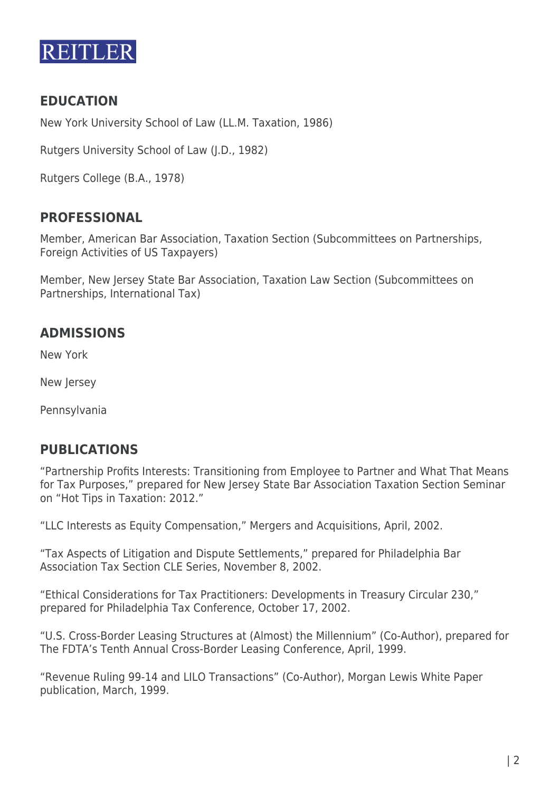

# **EDUCATION**

New York University School of Law (LL.M. Taxation, 1986)

Rutgers University School of Law (J.D., 1982)

Rutgers College (B.A., 1978)

#### **PROFESSIONAL**

Member, American Bar Association, Taxation Section (Subcommittees on Partnerships, Foreign Activities of US Taxpayers)

Member, New Jersey State Bar Association, Taxation Law Section (Subcommittees on Partnerships, International Tax)

## **ADMISSIONS**

New York

New Jersey

Pennsylvania

#### **PUBLICATIONS**

"Partnership Profits Interests: Transitioning from Employee to Partner and What That Means for Tax Purposes," prepared for New Jersey State Bar Association Taxation Section Seminar on "Hot Tips in Taxation: 2012."

"LLC Interests as Equity Compensation," Mergers and Acquisitions, April, 2002.

"Tax Aspects of Litigation and Dispute Settlements," prepared for Philadelphia Bar Association Tax Section CLE Series, November 8, 2002.

"Ethical Considerations for Tax Practitioners: Developments in Treasury Circular 230," prepared for Philadelphia Tax Conference, October 17, 2002.

"U.S. Cross-Border Leasing Structures at (Almost) the Millennium" (Co-Author), prepared for The FDTA's Tenth Annual Cross-Border Leasing Conference, April, 1999.

"Revenue Ruling 99-14 and LILO Transactions" (Co-Author), Morgan Lewis White Paper publication, March, 1999.